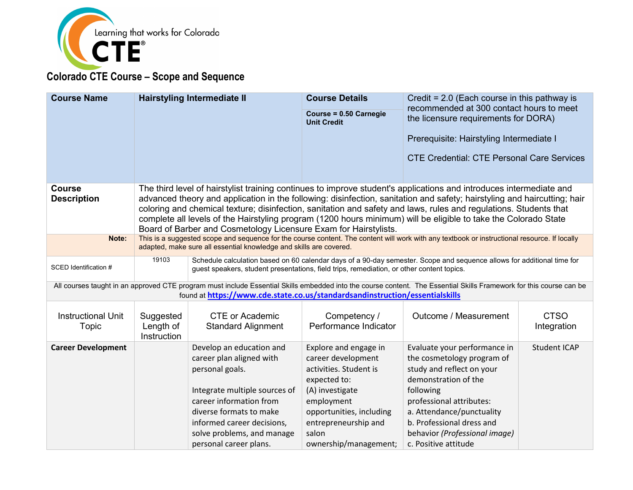

| <b>Course Name</b>                  |                                       | <b>Hairstyling Intermediate II</b>                                                                                                                                                                                                                   | <b>Course Details</b><br>Course = 0.50 Carnegie<br><b>Unit Credit</b>                                                                                                                                        | Credit = $2.0$ (Each course in this pathway is<br>recommended at 300 contact hours to meet<br>the licensure requirements for DORA)<br>Prerequisite: Hairstyling Intermediate I<br><b>CTE Credential: CTE Personal Care Services</b>                                                                                                                                                                                                                                                     |                            |
|-------------------------------------|---------------------------------------|------------------------------------------------------------------------------------------------------------------------------------------------------------------------------------------------------------------------------------------------------|--------------------------------------------------------------------------------------------------------------------------------------------------------------------------------------------------------------|-----------------------------------------------------------------------------------------------------------------------------------------------------------------------------------------------------------------------------------------------------------------------------------------------------------------------------------------------------------------------------------------------------------------------------------------------------------------------------------------|----------------------------|
| <b>Course</b><br><b>Description</b> |                                       | Board of Barber and Cosmetology Licensure Exam for Hairstylists.                                                                                                                                                                                     |                                                                                                                                                                                                              | The third level of hairstylist training continues to improve student's applications and introduces intermediate and<br>advanced theory and application in the following: disinfection, sanitation and safety; hairstyling and haircutting; hair<br>coloring and chemical texture; disinfection, sanitation and safety and laws, rules and regulations. Students that<br>complete all levels of the Hairstyling program (1200 hours minimum) will be eligible to take the Colorado State |                            |
| Note:                               |                                       | adapted, make sure all essential knowledge and skills are covered.                                                                                                                                                                                   |                                                                                                                                                                                                              | This is a suggested scope and sequence for the course content. The content will work with any textbook or instructional resource. If locally                                                                                                                                                                                                                                                                                                                                            |                            |
| SCED Identification #               | 19103                                 | guest speakers, student presentations, field trips, remediation, or other content topics.                                                                                                                                                            |                                                                                                                                                                                                              | Schedule calculation based on 60 calendar days of a 90-day semester. Scope and sequence allows for additional time for                                                                                                                                                                                                                                                                                                                                                                  |                            |
|                                     |                                       | found at https://www.cde.state.co.us/standardsandinstruction/essentialskills                                                                                                                                                                         |                                                                                                                                                                                                              | All courses taught in an approved CTE program must include Essential Skills embedded into the course content. The Essential Skills Framework for this course can be                                                                                                                                                                                                                                                                                                                     |                            |
| <b>Instructional Unit</b><br>Topic  | Suggested<br>Length of<br>Instruction | <b>CTE or Academic</b><br><b>Standard Alignment</b>                                                                                                                                                                                                  | Competency /<br>Performance Indicator                                                                                                                                                                        | Outcome / Measurement                                                                                                                                                                                                                                                                                                                                                                                                                                                                   | <b>CTSO</b><br>Integration |
| <b>Career Development</b>           |                                       | Develop an education and<br>career plan aligned with<br>personal goals.<br>Integrate multiple sources of<br>career information from<br>diverse formats to make<br>informed career decisions,<br>solve problems, and manage<br>personal career plans. | Explore and engage in<br>career development<br>activities. Student is<br>expected to:<br>(A) investigate<br>employment<br>opportunities, including<br>entrepreneurship and<br>salon<br>ownership/management; | Evaluate your performance in<br>the cosmetology program of<br>study and reflect on your<br>demonstration of the<br>following<br>professional attributes:<br>a. Attendance/punctuality<br>b. Professional dress and<br>behavior (Professional image)<br>c. Positive attitude                                                                                                                                                                                                             | <b>Student ICAP</b>        |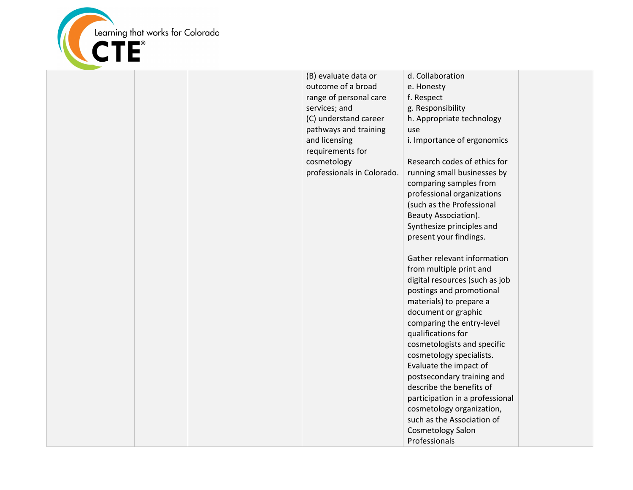

|  | (B) evaluate data or<br>outcome of a broad<br>range of personal care<br>services; and<br>(C) understand career<br>pathways and training<br>and licensing<br>requirements for<br>cosmetology<br>professionals in Colorado. | d. Collaboration<br>e. Honesty<br>f. Respect<br>g. Responsibility<br>h. Appropriate technology<br>use<br>i. Importance of ergonomics<br>Research codes of ethics for<br>running small businesses by<br>comparing samples from<br>professional organizations<br>(such as the Professional<br>Beauty Association).<br>Synthesize principles and<br>present your findings.<br>Gather relevant information<br>from multiple print and<br>digital resources (such as job<br>postings and promotional<br>materials) to prepare a<br>document or graphic<br>comparing the entry-level<br>qualifications for<br>cosmetologists and specific<br>cosmetology specialists.<br>Evaluate the impact of<br>postsecondary training and<br>describe the benefits of<br>participation in a professional<br>cosmetology organization,<br>such as the Association of<br><b>Cosmetology Salon</b><br>Professionals |  |
|--|---------------------------------------------------------------------------------------------------------------------------------------------------------------------------------------------------------------------------|------------------------------------------------------------------------------------------------------------------------------------------------------------------------------------------------------------------------------------------------------------------------------------------------------------------------------------------------------------------------------------------------------------------------------------------------------------------------------------------------------------------------------------------------------------------------------------------------------------------------------------------------------------------------------------------------------------------------------------------------------------------------------------------------------------------------------------------------------------------------------------------------|--|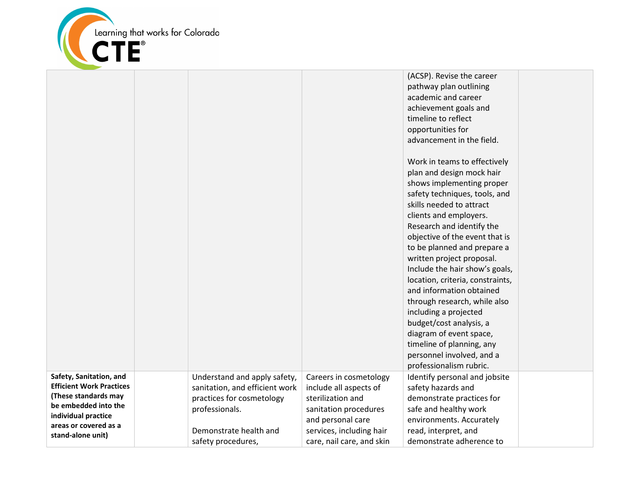

|                                              |                                |                           | (ACSP). Revise the career        |  |
|----------------------------------------------|--------------------------------|---------------------------|----------------------------------|--|
|                                              |                                |                           | pathway plan outlining           |  |
|                                              |                                |                           | academic and career              |  |
|                                              |                                |                           | achievement goals and            |  |
|                                              |                                |                           | timeline to reflect              |  |
|                                              |                                |                           | opportunities for                |  |
|                                              |                                |                           | advancement in the field.        |  |
|                                              |                                |                           |                                  |  |
|                                              |                                |                           | Work in teams to effectively     |  |
|                                              |                                |                           | plan and design mock hair        |  |
|                                              |                                |                           | shows implementing proper        |  |
|                                              |                                |                           | safety techniques, tools, and    |  |
|                                              |                                |                           | skills needed to attract         |  |
|                                              |                                |                           | clients and employers.           |  |
|                                              |                                |                           | Research and identify the        |  |
|                                              |                                |                           | objective of the event that is   |  |
|                                              |                                |                           | to be planned and prepare a      |  |
|                                              |                                |                           | written project proposal.        |  |
|                                              |                                |                           | Include the hair show's goals,   |  |
|                                              |                                |                           | location, criteria, constraints, |  |
|                                              |                                |                           | and information obtained         |  |
|                                              |                                |                           | through research, while also     |  |
|                                              |                                |                           | including a projected            |  |
|                                              |                                |                           | budget/cost analysis, a          |  |
|                                              |                                |                           | diagram of event space,          |  |
|                                              |                                |                           | timeline of planning, any        |  |
|                                              |                                |                           | personnel involved, and a        |  |
|                                              |                                |                           | professionalism rubric.          |  |
| Safety, Sanitation, and                      | Understand and apply safety,   | Careers in cosmetology    | Identify personal and jobsite    |  |
| <b>Efficient Work Practices</b>              | sanitation, and efficient work | include all aspects of    | safety hazards and               |  |
| (These standards may                         | practices for cosmetology      | sterilization and         | demonstrate practices for        |  |
| be embedded into the                         | professionals.                 | sanitation procedures     | safe and healthy work            |  |
| individual practice<br>areas or covered as a |                                | and personal care         | environments. Accurately         |  |
| stand-alone unit)                            | Demonstrate health and         | services, including hair  | read, interpret, and             |  |
|                                              | safety procedures,             | care, nail care, and skin | demonstrate adherence to         |  |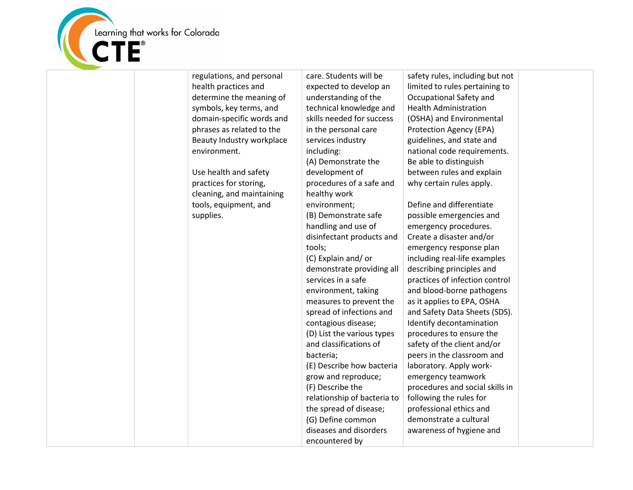

regulations, and personal health practices and determine the meaning of symbols, key terms, and domain-specific words and phrases as related to the Beauty Industry workplace environment. Use health and safety practices for storing, cleaning, and maintaining tools, equipment, and supplies. care. Students will be expected to develop an understanding of the technical knowledge and skills needed for success in the personal care services industry including: (A) Demonstrate the development of procedures of a safe and healthy work environment; (B) Demonstrate safe handling and use of disinfectant products and tools; (C) Explain and/ or demonstrate providing all services in a safe environment, taking measures to prevent the spread of infections and contagious disease; (D) List the various types and classifications of bacteria; (E) Describe how bacteria grow and reproduce; (F) Describe the relationship of bacteria to the spread of disease; (G) Define common diseases and disorders encountered by safety rules, including but not limited to rules pertaining to Occupational Safety and Health Administration (OSHA) and Environmental Protection Agency (EPA) guidelines, and state and national code requirements. Be able to distinguish between rules and explain why certain rules apply. Define and differentiate possible emergencies and emergency procedures. Create a disaster and/or emergency response plan including real-life examples describing principles and practices of infection control and blood-borne pathogens as it applies to EPA, OSHA and Safety Data Sheets (SDS). Identify decontamination procedures to ensure the safety of the client and/or peers in the classroom and laboratory. Apply workemergency teamwork procedures and social skills in following the rules for professional ethics and demonstrate a cultural awareness of hygiene and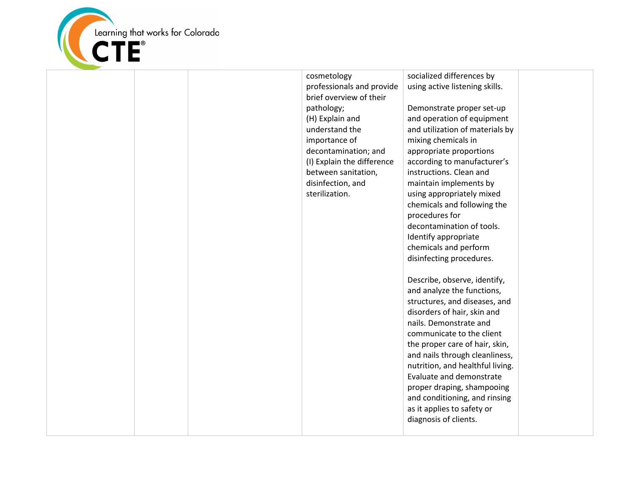

cosmetology professionals and provide brief overview of their pathology; (H) Explain and understand the importance of decontamination; and (I) Explain the difference between sanitation, disinfection, and sterilization. socialized differences by procedures for

using active listening skills.

Demonstrate proper set-up and operation of equipment and utilization of materials by mixing chemicals in appropriate proportions according to manufacturer's instructions. Clean and maintain implements by using appropriately mixed chemicals and following the decontamination of tools. Identify appropriate chemicals and perform disinfecting procedures. Describe, observe, identify,

and analyze the functions, structures, and diseases, and disorders of hair, skin and nails. Demonstrate and communicate to the client the proper care of hair, skin, and nails through cleanliness, nutrition, and healthful living. Evaluate and demonstrate proper draping, shampooing and conditioning, and rinsing as it applies to safety or diagnosis of clients.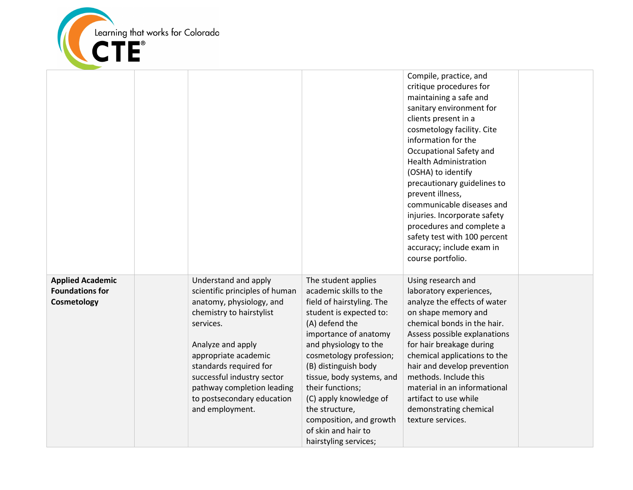

|                                                                  |                                                                                                                                                                                                                                                                                                                 |                                                                                                                                                                                                                                                                                                                                                                                                      | Compile, practice, and<br>critique procedures for<br>maintaining a safe and<br>sanitary environment for<br>clients present in a<br>cosmetology facility. Cite<br>information for the<br>Occupational Safety and<br><b>Health Administration</b><br>(OSHA) to identify<br>precautionary guidelines to<br>prevent illness,<br>communicable diseases and<br>injuries. Incorporate safety<br>procedures and complete a<br>safety test with 100 percent<br>accuracy; include exam in<br>course portfolio. |  |
|------------------------------------------------------------------|-----------------------------------------------------------------------------------------------------------------------------------------------------------------------------------------------------------------------------------------------------------------------------------------------------------------|------------------------------------------------------------------------------------------------------------------------------------------------------------------------------------------------------------------------------------------------------------------------------------------------------------------------------------------------------------------------------------------------------|------------------------------------------------------------------------------------------------------------------------------------------------------------------------------------------------------------------------------------------------------------------------------------------------------------------------------------------------------------------------------------------------------------------------------------------------------------------------------------------------------|--|
| <b>Applied Academic</b><br><b>Foundations for</b><br>Cosmetology | Understand and apply<br>scientific principles of human<br>anatomy, physiology, and<br>chemistry to hairstylist<br>services.<br>Analyze and apply<br>appropriate academic<br>standards required for<br>successful industry sector<br>pathway completion leading<br>to postsecondary education<br>and employment. | The student applies<br>academic skills to the<br>field of hairstyling. The<br>student is expected to:<br>(A) defend the<br>importance of anatomy<br>and physiology to the<br>cosmetology profession;<br>(B) distinguish body<br>tissue, body systems, and<br>their functions;<br>(C) apply knowledge of<br>the structure,<br>composition, and growth<br>of skin and hair to<br>hairstyling services; | Using research and<br>laboratory experiences,<br>analyze the effects of water<br>on shape memory and<br>chemical bonds in the hair.<br>Assess possible explanations<br>for hair breakage during<br>chemical applications to the<br>hair and develop prevention<br>methods. Include this<br>material in an informational<br>artifact to use while<br>demonstrating chemical<br>texture services.                                                                                                      |  |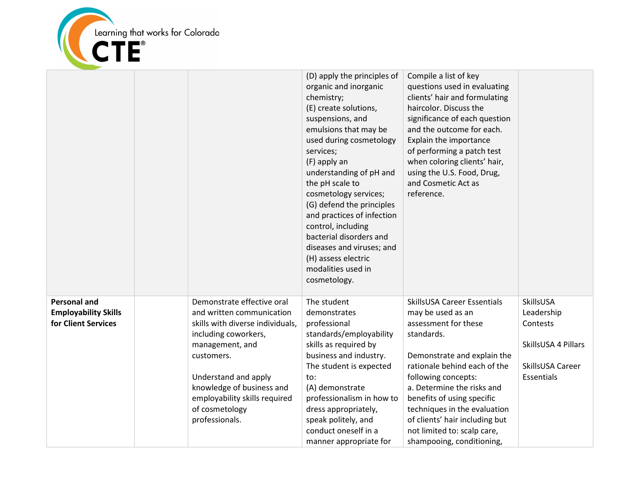

|                                                                           |                                                                                                                                                                                                                                                                                | (D) apply the principles of<br>organic and inorganic<br>chemistry;<br>(E) create solutions,<br>suspensions, and<br>emulsions that may be<br>used during cosmetology<br>services;<br>(F) apply an<br>understanding of pH and<br>the pH scale to<br>cosmetology services;<br>(G) defend the principles<br>and practices of infection<br>control, including<br>bacterial disorders and<br>diseases and viruses; and<br>(H) assess electric<br>modalities used in<br>cosmetology. | Compile a list of key<br>questions used in evaluating<br>clients' hair and formulating<br>haircolor. Discuss the<br>significance of each question<br>and the outcome for each.<br>Explain the importance<br>of performing a patch test<br>when coloring clients' hair,<br>using the U.S. Food, Drug,<br>and Cosmetic Act as<br>reference.                              |                                                                                              |
|---------------------------------------------------------------------------|--------------------------------------------------------------------------------------------------------------------------------------------------------------------------------------------------------------------------------------------------------------------------------|-------------------------------------------------------------------------------------------------------------------------------------------------------------------------------------------------------------------------------------------------------------------------------------------------------------------------------------------------------------------------------------------------------------------------------------------------------------------------------|------------------------------------------------------------------------------------------------------------------------------------------------------------------------------------------------------------------------------------------------------------------------------------------------------------------------------------------------------------------------|----------------------------------------------------------------------------------------------|
| <b>Personal and</b><br><b>Employability Skills</b><br>for Client Services | Demonstrate effective oral<br>and written communication<br>skills with diverse individuals,<br>including coworkers,<br>management, and<br>customers.<br>Understand and apply<br>knowledge of business and<br>employability skills required<br>of cosmetology<br>professionals. | The student<br>demonstrates<br>professional<br>standards/employability<br>skills as required by<br>business and industry.<br>The student is expected<br>to:<br>(A) demonstrate<br>professionalism in how to<br>dress appropriately,<br>speak politely, and<br>conduct oneself in a<br>manner appropriate for                                                                                                                                                                  | SkillsUSA Career Essentials<br>may be used as an<br>assessment for these<br>standards.<br>Demonstrate and explain the<br>rationale behind each of the<br>following concepts:<br>a. Determine the risks and<br>benefits of using specific<br>techniques in the evaluation<br>of clients' hair including but<br>not limited to: scalp care,<br>shampooing, conditioning, | SkillsUSA<br>Leadership<br>Contests<br>SkillsUSA 4 Pillars<br>SkillsUSA Career<br>Essentials |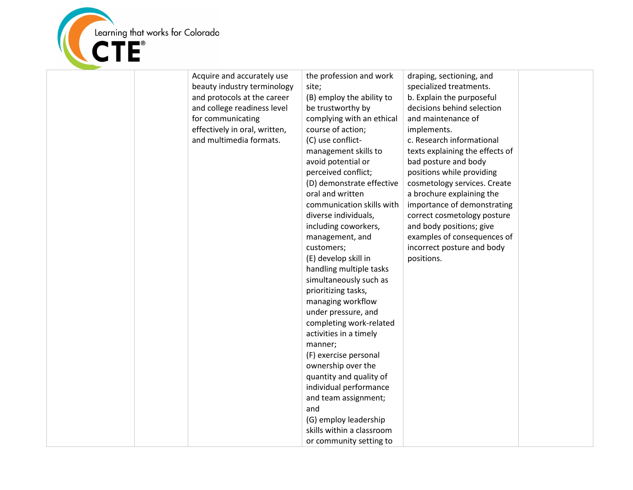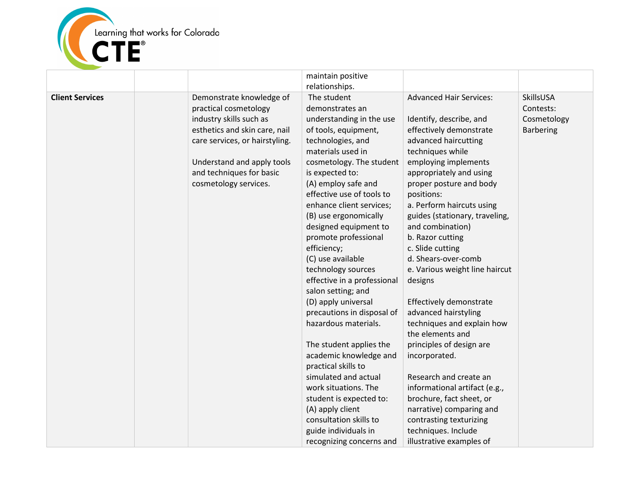

|                        |                                | maintain positive           |                                |                  |
|------------------------|--------------------------------|-----------------------------|--------------------------------|------------------|
|                        |                                | relationships.              |                                |                  |
| <b>Client Services</b> | Demonstrate knowledge of       | The student                 | <b>Advanced Hair Services:</b> | SkillsUSA        |
|                        | practical cosmetology          | demonstrates an             |                                | Contests:        |
|                        | industry skills such as        | understanding in the use    | Identify, describe, and        | Cosmetology      |
|                        | esthetics and skin care, nail  | of tools, equipment,        | effectively demonstrate        | <b>Barbering</b> |
|                        | care services, or hairstyling. | technologies, and           | advanced haircutting           |                  |
|                        |                                | materials used in           | techniques while               |                  |
|                        | Understand and apply tools     | cosmetology. The student    | employing implements           |                  |
|                        | and techniques for basic       | is expected to:             | appropriately and using        |                  |
|                        | cosmetology services.          | (A) employ safe and         | proper posture and body        |                  |
|                        |                                | effective use of tools to   | positions:                     |                  |
|                        |                                | enhance client services;    | a. Perform haircuts using      |                  |
|                        |                                | (B) use ergonomically       | guides (stationary, traveling, |                  |
|                        |                                | designed equipment to       | and combination)               |                  |
|                        |                                | promote professional        | b. Razor cutting               |                  |
|                        |                                | efficiency;                 | c. Slide cutting               |                  |
|                        |                                | (C) use available           | d. Shears-over-comb            |                  |
|                        |                                | technology sources          | e. Various weight line haircut |                  |
|                        |                                | effective in a professional | designs                        |                  |
|                        |                                | salon setting; and          |                                |                  |
|                        |                                | (D) apply universal         | Effectively demonstrate        |                  |
|                        |                                | precautions in disposal of  | advanced hairstyling           |                  |
|                        |                                | hazardous materials.        | techniques and explain how     |                  |
|                        |                                |                             | the elements and               |                  |
|                        |                                | The student applies the     | principles of design are       |                  |
|                        |                                | academic knowledge and      | incorporated.                  |                  |
|                        |                                | practical skills to         |                                |                  |
|                        |                                | simulated and actual        | Research and create an         |                  |
|                        |                                | work situations. The        | informational artifact (e.g.,  |                  |
|                        |                                | student is expected to:     | brochure, fact sheet, or       |                  |
|                        |                                | (A) apply client            | narrative) comparing and       |                  |
|                        |                                | consultation skills to      | contrasting texturizing        |                  |
|                        |                                | guide individuals in        | techniques. Include            |                  |
|                        |                                | recognizing concerns and    | illustrative examples of       |                  |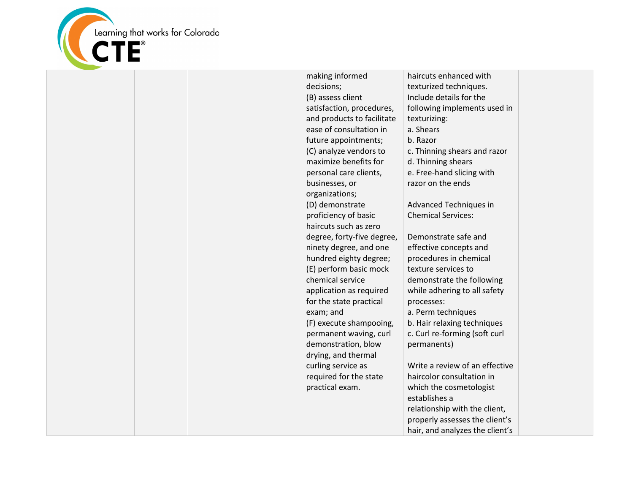

| making informed            | haircuts enhanced with          |  |
|----------------------------|---------------------------------|--|
| decisions;                 | texturized techniques.          |  |
| (B) assess client          | Include details for the         |  |
| satisfaction, procedures,  | following implements used in    |  |
| and products to facilitate | texturizing:                    |  |
| ease of consultation in    | a. Shears                       |  |
| future appointments;       | b. Razor                        |  |
| (C) analyze vendors to     | c. Thinning shears and razor    |  |
| maximize benefits for      | d. Thinning shears              |  |
| personal care clients,     | e. Free-hand slicing with       |  |
| businesses, or             | razor on the ends               |  |
| organizations;             |                                 |  |
| (D) demonstrate            | Advanced Techniques in          |  |
| proficiency of basic       | <b>Chemical Services:</b>       |  |
| haircuts such as zero      |                                 |  |
| degree, forty-five degree, | Demonstrate safe and            |  |
| ninety degree, and one     | effective concepts and          |  |
| hundred eighty degree;     | procedures in chemical          |  |
| (E) perform basic mock     | texture services to             |  |
| chemical service           | demonstrate the following       |  |
| application as required    | while adhering to all safety    |  |
| for the state practical    | processes:                      |  |
| exam; and                  | a. Perm techniques              |  |
| (F) execute shampooing,    | b. Hair relaxing techniques     |  |
| permanent waving, curl     | c. Curl re-forming (soft curl   |  |
| demonstration, blow        | permanents)                     |  |
| drying, and thermal        |                                 |  |
| curling service as         | Write a review of an effective  |  |
| required for the state     | haircolor consultation in       |  |
| practical exam.            | which the cosmetologist         |  |
|                            | establishes a                   |  |
|                            | relationship with the client,   |  |
|                            | properly assesses the client's  |  |
|                            | hair, and analyzes the client's |  |
|                            |                                 |  |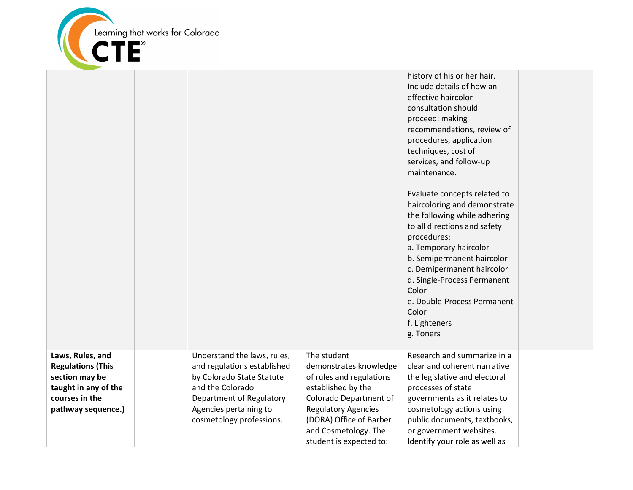

|                                                                                                                                |                                                                                                                                                                                               |                                                                                                                                                                                                                               | history of his or her hair.<br>Include details of how an<br>effective haircolor<br>consultation should<br>proceed: making<br>recommendations, review of<br>procedures, application<br>techniques, cost of<br>services, and follow-up<br>maintenance.<br>Evaluate concepts related to<br>haircoloring and demonstrate<br>the following while adhering<br>to all directions and safety<br>procedures:<br>a. Temporary haircolor<br>b. Semipermanent haircolor<br>c. Demipermanent haircolor<br>d. Single-Process Permanent<br>Color<br>e. Double-Process Permanent<br>Color<br>f. Lighteners<br>g. Toners |  |
|--------------------------------------------------------------------------------------------------------------------------------|-----------------------------------------------------------------------------------------------------------------------------------------------------------------------------------------------|-------------------------------------------------------------------------------------------------------------------------------------------------------------------------------------------------------------------------------|---------------------------------------------------------------------------------------------------------------------------------------------------------------------------------------------------------------------------------------------------------------------------------------------------------------------------------------------------------------------------------------------------------------------------------------------------------------------------------------------------------------------------------------------------------------------------------------------------------|--|
| Laws, Rules, and<br><b>Regulations (This</b><br>section may be<br>taught in any of the<br>courses in the<br>pathway sequence.) | Understand the laws, rules,<br>and regulations established<br>by Colorado State Statute<br>and the Colorado<br>Department of Regulatory<br>Agencies pertaining to<br>cosmetology professions. | The student<br>demonstrates knowledge<br>of rules and regulations<br>established by the<br>Colorado Department of<br><b>Regulatory Agencies</b><br>(DORA) Office of Barber<br>and Cosmetology. The<br>student is expected to: | Research and summarize in a<br>clear and coherent narrative<br>the legislative and electoral<br>processes of state<br>governments as it relates to<br>cosmetology actions using<br>public documents, textbooks,<br>or government websites.<br>Identify your role as well as                                                                                                                                                                                                                                                                                                                             |  |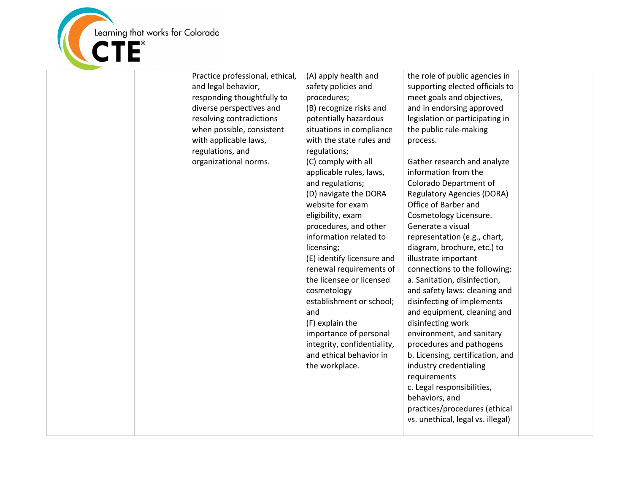

| Practice professional, ethical,<br>and legal behavior,<br>responding thoughtfully to<br>diverse perspectives and<br>resolving contradictions<br>when possible, consistent<br>with applicable laws,<br>regulations, and<br>organizational norms. | (A) apply health and<br>safety policies and<br>procedures;<br>(B) recognize risks and<br>potentially hazardous<br>situations in compliance<br>with the state rules and<br>regulations;<br>(C) comply with all<br>applicable rules, laws,<br>and regulations;<br>(D) navigate the DORA<br>website for exam<br>eligibility, exam<br>procedures, and other<br>information related to<br>licensing;<br>(E) identify licensure and<br>renewal requirements of<br>the licensee or licensed<br>cosmetology<br>establishment or school;<br>and<br>(F) explain the<br>importance of personal<br>integrity, confidentiality,<br>and ethical behavior in<br>the workplace. | the role of public agencies in<br>supporting elected officials to<br>meet goals and objectives,<br>and in endorsing approved<br>legislation or participating in<br>the public rule-making<br>process.<br>Gather research and analyze<br>information from the<br>Colorado Department of<br><b>Regulatory Agencies (DORA)</b><br>Office of Barber and<br>Cosmetology Licensure.<br>Generate a visual<br>representation (e.g., chart,<br>diagram, brochure, etc.) to<br>illustrate important<br>connections to the following:<br>a. Sanitation, disinfection,<br>and safety laws: cleaning and<br>disinfecting of implements<br>and equipment, cleaning and<br>disinfecting work<br>environment, and sanitary<br>procedures and pathogens<br>b. Licensing, certification, and<br>industry credentialing<br>requirements<br>c. Legal responsibilities,<br>behaviors, and<br>practices/procedures (ethical<br>vs. unethical, legal vs. illegal) |  |
|-------------------------------------------------------------------------------------------------------------------------------------------------------------------------------------------------------------------------------------------------|-----------------------------------------------------------------------------------------------------------------------------------------------------------------------------------------------------------------------------------------------------------------------------------------------------------------------------------------------------------------------------------------------------------------------------------------------------------------------------------------------------------------------------------------------------------------------------------------------------------------------------------------------------------------|--------------------------------------------------------------------------------------------------------------------------------------------------------------------------------------------------------------------------------------------------------------------------------------------------------------------------------------------------------------------------------------------------------------------------------------------------------------------------------------------------------------------------------------------------------------------------------------------------------------------------------------------------------------------------------------------------------------------------------------------------------------------------------------------------------------------------------------------------------------------------------------------------------------------------------------------|--|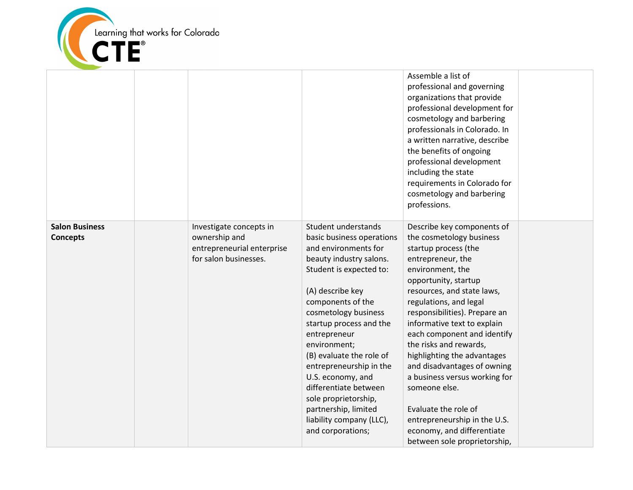

|                                          |                                                                                                 |                                                                                                                                                                                                                                                                                                                                                                                                                                                                  | Assemble a list of<br>professional and governing<br>organizations that provide<br>professional development for<br>cosmetology and barbering<br>professionals in Colorado. In<br>a written narrative, describe<br>the benefits of ongoing<br>professional development<br>including the state<br>requirements in Colorado for<br>cosmetology and barbering<br>professions.                                                                                                                                                                                               |  |
|------------------------------------------|-------------------------------------------------------------------------------------------------|------------------------------------------------------------------------------------------------------------------------------------------------------------------------------------------------------------------------------------------------------------------------------------------------------------------------------------------------------------------------------------------------------------------------------------------------------------------|------------------------------------------------------------------------------------------------------------------------------------------------------------------------------------------------------------------------------------------------------------------------------------------------------------------------------------------------------------------------------------------------------------------------------------------------------------------------------------------------------------------------------------------------------------------------|--|
| <b>Salon Business</b><br><b>Concepts</b> | Investigate concepts in<br>ownership and<br>entrepreneurial enterprise<br>for salon businesses. | Student understands<br>basic business operations<br>and environments for<br>beauty industry salons.<br>Student is expected to:<br>(A) describe key<br>components of the<br>cosmetology business<br>startup process and the<br>entrepreneur<br>environment;<br>(B) evaluate the role of<br>entrepreneurship in the<br>U.S. economy, and<br>differentiate between<br>sole proprietorship,<br>partnership, limited<br>liability company (LLC),<br>and corporations; | Describe key components of<br>the cosmetology business<br>startup process (the<br>entrepreneur, the<br>environment, the<br>opportunity, startup<br>resources, and state laws,<br>regulations, and legal<br>responsibilities). Prepare an<br>informative text to explain<br>each component and identify<br>the risks and rewards,<br>highlighting the advantages<br>and disadvantages of owning<br>a business versus working for<br>someone else.<br>Evaluate the role of<br>entrepreneurship in the U.S.<br>economy, and differentiate<br>between sole proprietorship, |  |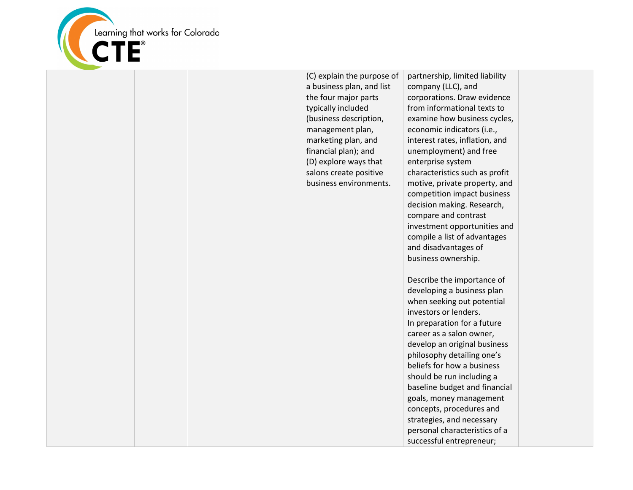

| (C) explain the purpose of<br>a business plan, and list<br>the four major parts<br>typically included<br>(business description,<br>management plan,<br>marketing plan, and<br>financial plan); and<br>(D) explore ways that<br>salons create positive<br>business environments. | partnership, limited liability<br>company (LLC), and<br>corporations. Draw evidence<br>from informational texts to<br>examine how business cycles,<br>economic indicators (i.e.,<br>interest rates, inflation, and<br>unemployment) and free<br>enterprise system<br>characteristics such as profit<br>motive, private property, and<br>competition impact business<br>decision making. Research,<br>compare and contrast<br>investment opportunities and<br>compile a list of advantages<br>and disadvantages of<br>business ownership. |  |
|---------------------------------------------------------------------------------------------------------------------------------------------------------------------------------------------------------------------------------------------------------------------------------|------------------------------------------------------------------------------------------------------------------------------------------------------------------------------------------------------------------------------------------------------------------------------------------------------------------------------------------------------------------------------------------------------------------------------------------------------------------------------------------------------------------------------------------|--|
|                                                                                                                                                                                                                                                                                 | Describe the importance of<br>developing a business plan<br>when seeking out potential<br>investors or lenders.<br>In preparation for a future<br>career as a salon owner,<br>develop an original business<br>philosophy detailing one's<br>beliefs for how a business<br>should be run including a<br>baseline budget and financial<br>goals, money management<br>concepts, procedures and<br>strategies, and necessary<br>personal characteristics of a<br>successful entrepreneur;                                                    |  |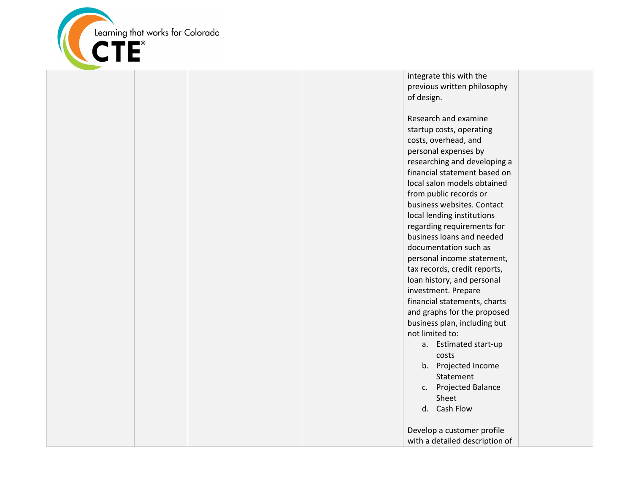

integrate this with the previous written philosophy of design.

Research and examine startup costs, operating costs, overhead, and personal expenses by researching and developing a financial statement based on local salon models obtained from public records or business websites. Contact local lending institutions regarding requirements for business loans and needed documentation such as personal income statement, tax records, credit reports, loan history, and personal investment. Prepare financial statements, charts and graphs for the proposed business plan, including but not limited to: a. Estimated start-up costs b. Projected Income Statement c. Projected Balance Sheet d. Cash Flow

Develop a customer profile with a detailed description of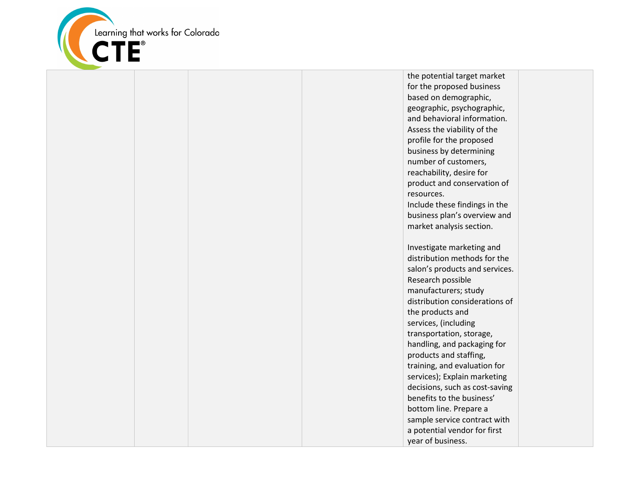

the potential target market for the proposed business based on demographic, geographic, psychographic, and behavioral information. Assess the viability of the profile for the proposed business by determining number of customers, reachability, desire for product and conservation of resources. Include these findings in the business plan's overview and market analysis section. Investigate marketing and distribution methods for the salon's products and services. Research possible manufacturers; study distribution considerations of the products and services, (including transportation, storage, handling, and packaging for products and staffing, training, and evaluation for services); Explain marketing decisions, such as cost-saving benefits to the business' bottom line. Prepare a sample service contract with a potential vendor for first year of business.